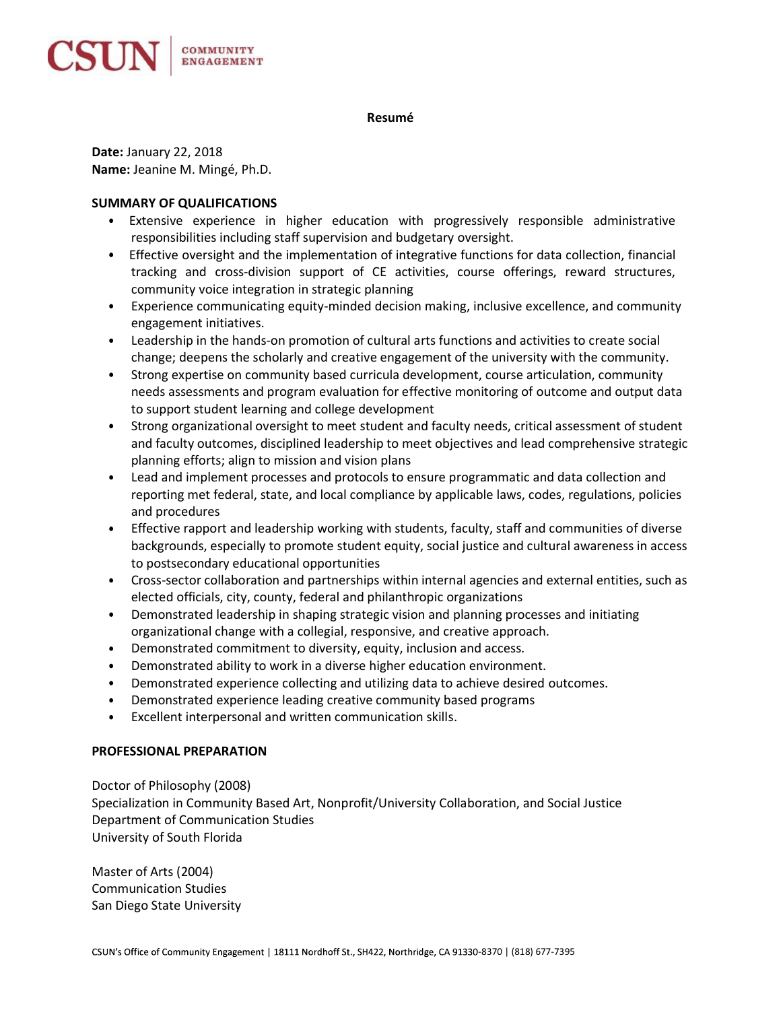

### Resumé

Date: January 22, 2018 Name: Jeanine M. Mingé, Ph.D.

## SUMMARY OF QUALIFICATIONS

- Extensive experience in higher education with progressively responsible administrative  $\bullet$ responsibilities including staff supervision and budgetary oversight.
- Effective oversight and the implementation of integrative functions for data collection, financial tracking and cross-division support of CE activities, course offerings, reward structures, community voice integration in strategic planning
- $\bullet$ Experience communicating equity-minded decision making, inclusive excellence, and community engagement initiatives.
- Leadership in the hands-on promotion of cultural arts functions and activities to create social change; deepens the scholarly and creative engagement of the university with the community.
- Strong expertise on community based curricula development, course articulation, community needs assessments and program evaluation for effective monitoring of outcome and output data to support student learning and college development
- Strong organizational oversight to meet student and faculty needs, critical assessment of student  $\bullet$  . and faculty outcomes, disciplined leadership to meet objectives and lead comprehensive strategic planning efforts; align to mission and vision plans
- $\bullet$ Lead and implement processes and protocols to ensure programmatic and data collection and reporting met federal, state, and local compliance by applicable laws, codes, regulations, policies and procedures
- $\bullet$ Effective rapport and leadership working with students, faculty, staff and communities of diverse backgrounds, especially to promote student equity, social justice and cultural awareness in access to postsecondary educational opportunities
- Cross-sector collaboration and partnerships within internal agencies and external entities, such as  $\bullet$ elected officials, city, county, federal and philanthropic organizations
- $\bullet$ Demonstrated leadership in shaping strategic vision and planning processes and initiating organizational change with a collegial, responsive, and creative approach.
- Demonstrated commitment to diversity, equity, inclusion and access.  $\bullet$
- Demonstrated ability to work in a diverse higher education environment.
- Demonstrated experience collecting and utilizing data to achieve desired outcomes.
- Demonstrated experience leading creative community based programs
- Excellent interpersonal and written communication skills.

# PROFESSIONAL PREPARATION

Doctor of Philosophy (2008) Specialization in Community Based Art, Nonprofit/University Collaboration, and Social Justice Department of Communication Studies University of South Florida

Master of Arts (2004) Communication Studies San Diego State University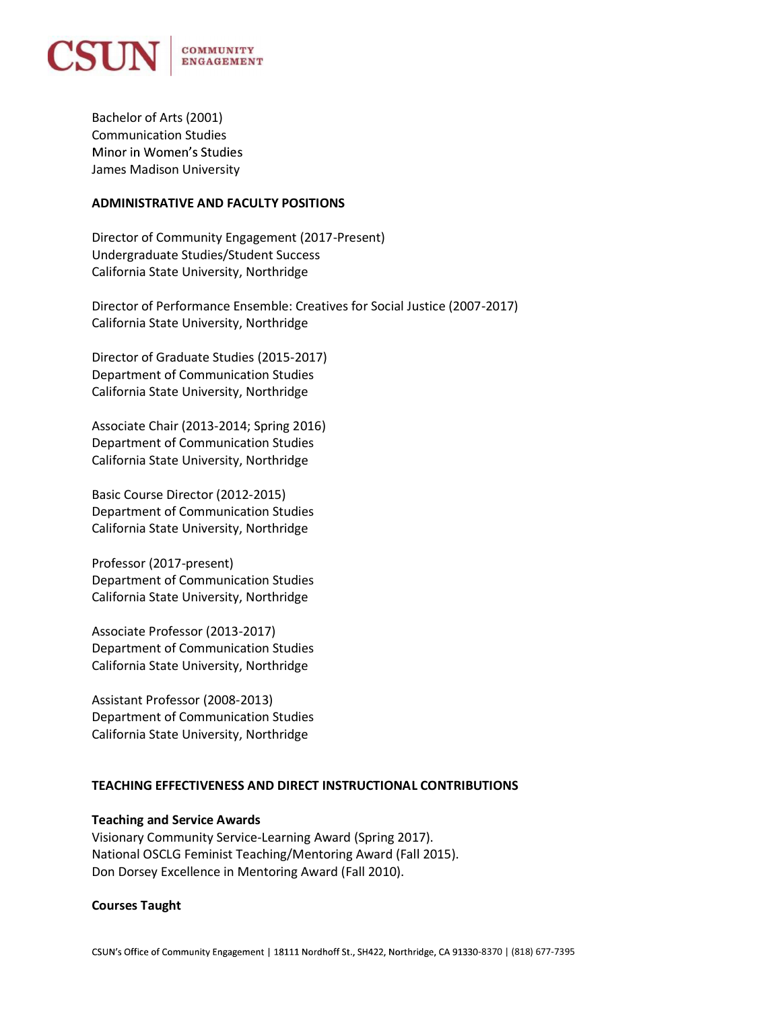

Bachelor of Arts (2001) Communication Studies Minor in Women's Studies James Madison University

### ADMINISTRATIVE AND FACULTY POSITIONS

Director of Community Engagement (2017-Present) Undergraduate Studies/Student Success California State University, Northridge

Director of Performance Ensemble: Creatives for Social Justice (2007-2017) California State University, Northridge

Director of Graduate Studies (2015-2017) Department of Communication Studies California State University, Northridge

Associate Chair (2013-2014; Spring 2016) Department of Communication Studies California State University, Northridge

Basic Course Director (2012-2015) Department of Communication Studies California State University, Northridge

Professor (2017-present) Department of Communication Studies California State University, Northridge

Associate Professor (2013-2017) Department of Communication Studies California State University, Northridge

Assistant Professor (2008-2013) Department of Communication Studies California State University, Northridge

# TEACHING EFFECTIVENESS AND DIRECT INSTRUCTIONAL CONTRIBUTIONS

# Teaching and Service Awards

Visionary Community Service-Learning Award (Spring 2017). National OSCLG Feminist Teaching/Mentoring Award (Fall 2015). Don Dorsey Excellence in Mentoring Award (Fall 2010).

# Courses Taught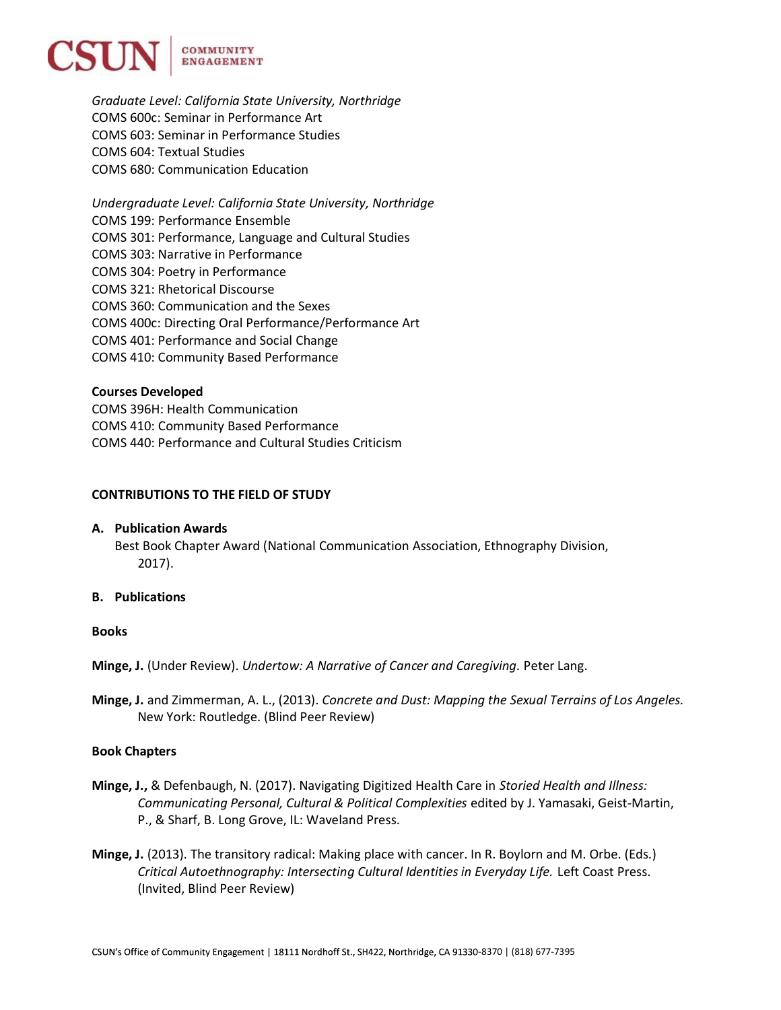

Graduate Level: California State University, Northridge COMS 600c: Seminar in Performance Art COMS 603: Seminar in Performance Studies COMS 604: Textual Studies COMS 680: Communication Education

Undergraduate Level: California State University, Northridge COMS 199: Performance Ensemble COMS 301: Performance, Language and Cultural Studies COMS 303: Narrative in Performance COMS 304: Poetry in Performance COMS 321: Rhetorical Discourse COMS 360: Communication and the Sexes COMS 400c: Directing Oral Performance/Performance Art COMS 401: Performance and Social Change COMS 410: Community Based Performance

### Courses Developed

COMS 396H: Health Communication COMS 410: Community Based Performance COMS 440: Performance and Cultural Studies Criticism

### CONTRIBUTIONS TO THE FIELD OF STUDY

#### A. Publication Awards

Best Book Chapter Award (National Communication Association, Ethnography Division, 2017).

### B. Publications

### Books

Minge, J. (Under Review). Undertow: A Narrative of Cancer and Caregiving. Peter Lang.

Minge, J. and Zimmerman, A. L., (2013). Concrete and Dust: Mapping the Sexual Terrains of Los Angeles. New York: Routledge. (Blind Peer Review)

### Book Chapters

- Minge, J., & Defenbaugh, N. (2017). Navigating Digitized Health Care in Storied Health and Illness: Communicating Personal, Cultural & Political Complexities edited by J. Yamasaki, Geist-Martin, P., & Sharf, B. Long Grove, IL: Waveland Press.
- Minge, J. (2013). The transitory radical: Making place with cancer. In R. Boylorn and M. Orbe. (Eds.) Critical Autoethnography: Intersecting Cultural Identities in Everyday Life. Left Coast Press. (Invited, Blind Peer Review)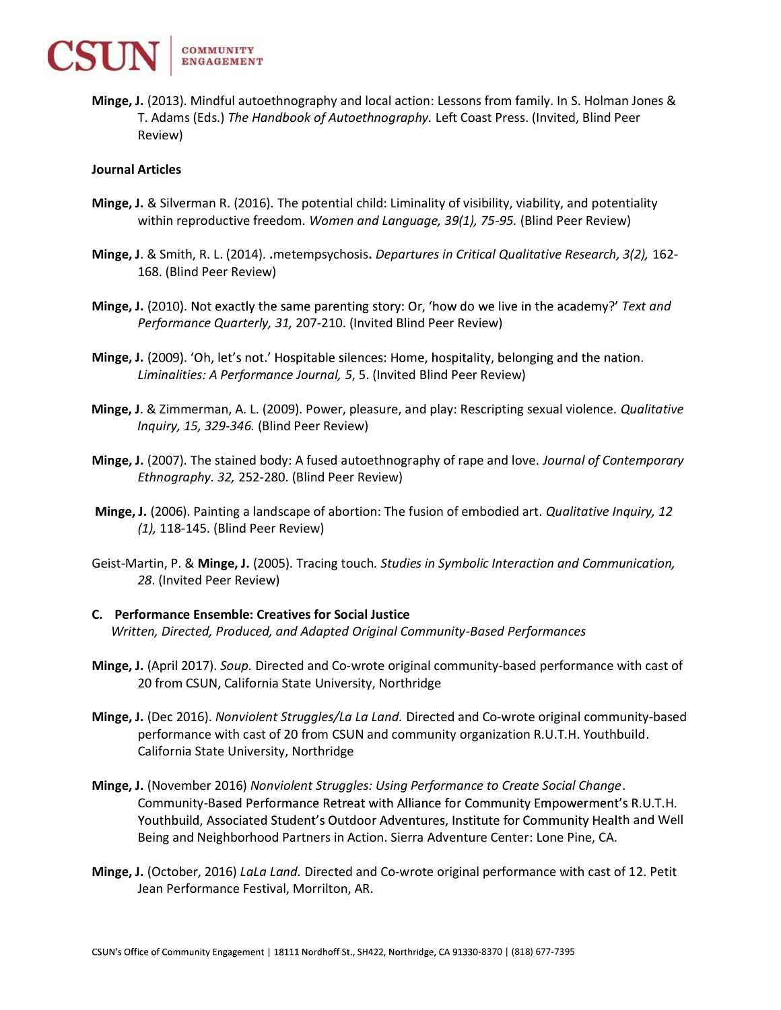

Minge, J. (2013). Mindful autoethnography and local action: Lessons from family. In S. Holman Jones & T. Adams (Eds.) The Handbook of Autoethnography. Left Coast Press. (Invited, Blind Peer Review)

### Journal Articles

- Minge, J. & Silverman R. (2016). The potential child: Liminality of visibility, viability, and potentiality within reproductive freedom. Women and Language, 39(1), 75-95. (Blind Peer Review)
- Minge, J. & Smith, R. L. (2014). .metempsychosis. Departures in Critical Qualitative Research, 3(2), 162- 168. (Blind Peer Review)
- Minge, J. (2010). Not exactly the same parenting story: Or, 'how do we live in the academy?' Text and Performance Quarterly, 31, 207-210. (Invited Blind Peer Review)
- Minge, J. (2009). 'Oh, let's not.' Hospitable silences: Home, hospitality, belonging and the nation. Liminalities: A Performance Journal, 5, 5. (Invited Blind Peer Review)
- Minge, J. & Zimmerman, A. L. (2009). Power, pleasure, and play: Rescripting sexual violence. Qualitative Inquiry, 15, 329-346. (Blind Peer Review)
- Minge, J. (2007). The stained body: A fused autoethnography of rape and love. Journal of Contemporary Ethnography. 32, 252-280. (Blind Peer Review)
- Minge, J. (2006). Painting a landscape of abortion: The fusion of embodied art. Qualitative Inquiry, 12 (1), 118-145. (Blind Peer Review)
- Geist-Martin, P. & Minge, J. (2005). Tracing touch. Studies in Symbolic Interaction and Communication, 28. (Invited Peer Review)
- C. Performance Ensemble: Creatives for Social Justice Written, Directed, Produced, and Adapted Original Community-Based Performances
- Minge, J. (April 2017). Soup. Directed and Co-wrote original community-based performance with cast of 20 from CSUN, California State University, Northridge
- Minge, J. (Dec 2016). Nonviolent Struggles/La La Land. Directed and Co-wrote original community-based performance with cast of 20 from CSUN and community organization R.U.T.H. Youthbuild. California State University, Northridge
- Minge, J. (November 2016) Nonviolent Struggles: Using Performance to Create Social Change. Community-Based Performance Retreat with Alliance for Community Empowerment's R.U.T.H. Youthbuild, Associated Student's Outdoor Adventures, Institute for Community Health and Well Being and Neighborhood Partners in Action. Sierra Adventure Center: Lone Pine, CA.
- Minge, J. (October, 2016) LaLa Land. Directed and Co-wrote original performance with cast of 12. Petit Jean Performance Festival, Morrilton, AR.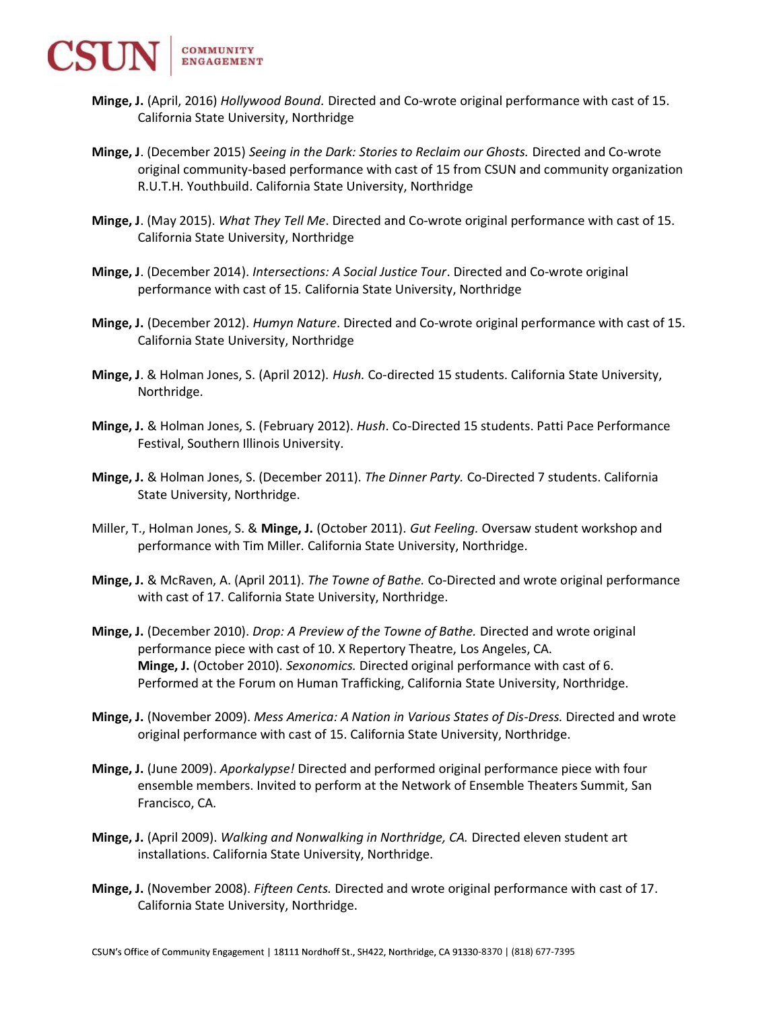

- Minge, J. (April, 2016) Hollywood Bound. Directed and Co-wrote original performance with cast of 15. California State University, Northridge
- Minge, J. (December 2015) Seeing in the Dark: Stories to Reclaim our Ghosts. Directed and Co-wrote original community-based performance with cast of 15 from CSUN and community organization R.U.T.H. Youthbuild. California State University, Northridge
- Minge, J. (May 2015). What They Tell Me. Directed and Co-wrote original performance with cast of 15. California State University, Northridge
- Minge, J. (December 2014). Intersections: A Social Justice Tour. Directed and Co-wrote original performance with cast of 15. California State University, Northridge
- Minge, J. (December 2012). Humyn Nature. Directed and Co-wrote original performance with cast of 15. California State University, Northridge
- Minge, J. & Holman Jones, S. (April 2012). Hush. Co-directed 15 students. California State University, Northridge.
- Minge, J. & Holman Jones, S. (February 2012). Hush. Co-Directed 15 students. Patti Pace Performance Festival, Southern Illinois University.
- Minge, J. & Holman Jones, S. (December 2011). The Dinner Party. Co-Directed 7 students. California State University, Northridge.
- Miller, T., Holman Jones, S. & Minge, J. (October 2011). Gut Feeling. Oversaw student workshop and performance with Tim Miller. California State University, Northridge.
- Minge, J. & McRaven, A. (April 2011). The Towne of Bathe. Co-Directed and wrote original performance with cast of 17. California State University, Northridge.
- Minge, J. (December 2010). Drop: A Preview of the Towne of Bathe. Directed and wrote original performance piece with cast of 10. X Repertory Theatre, Los Angeles, CA. Minge, J. (October 2010). Sexonomics. Directed original performance with cast of 6. Performed at the Forum on Human Trafficking, California State University, Northridge.
- Minge, J. (November 2009). Mess America: A Nation in Various States of Dis-Dress. Directed and wrote original performance with cast of 15. California State University, Northridge.
- Minge, J. (June 2009). Aporkalypse! Directed and performed original performance piece with four ensemble members. Invited to perform at the Network of Ensemble Theaters Summit, San Francisco, CA.
- Minge, J. (April 2009). Walking and Nonwalking in Northridge, CA. Directed eleven student art installations. California State University, Northridge.
- Minge, J. (November 2008). Fifteen Cents. Directed and wrote original performance with cast of 17. California State University, Northridge.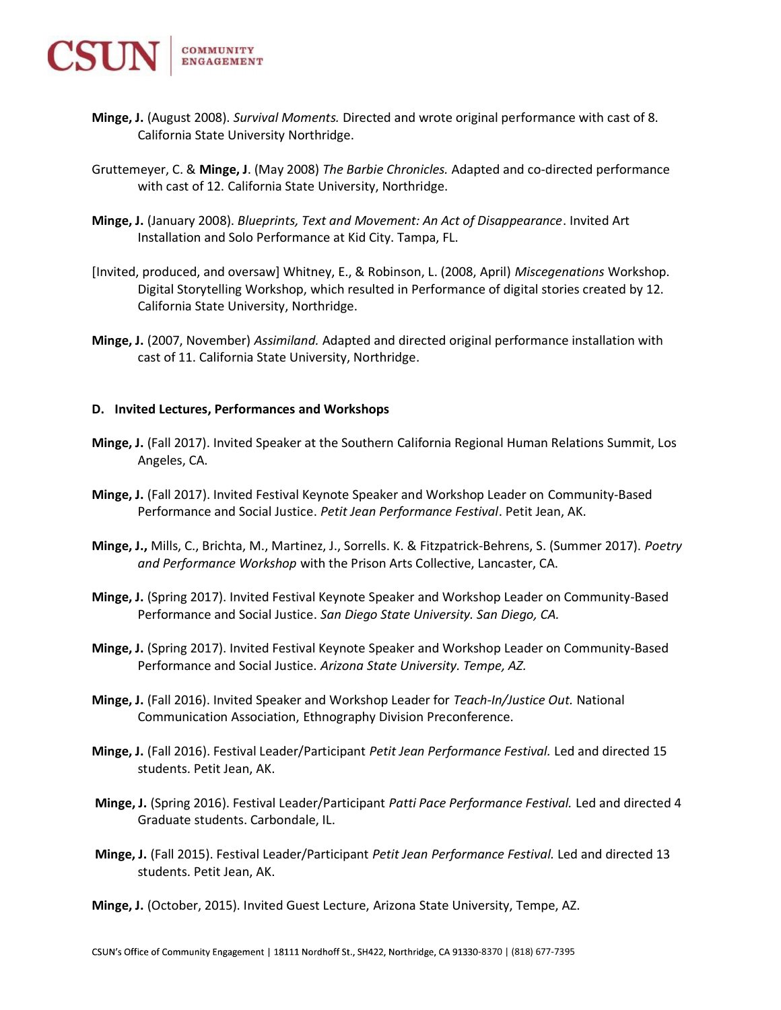

- Minge, J. (August 2008). Survival Moments. Directed and wrote original performance with cast of 8. California State University Northridge.
- Gruttemeyer, C. & Minge, J. (May 2008) The Barbie Chronicles. Adapted and co-directed performance with cast of 12. California State University, Northridge.
- Minge, J. (January 2008). Blueprints, Text and Movement: An Act of Disappearance. Invited Art Installation and Solo Performance at Kid City. Tampa, FL.
- [Invited, produced, and oversaw] Whitney, E., & Robinson, L. (2008, April) Miscegenations Workshop. Digital Storytelling Workshop, which resulted in Performance of digital stories created by 12. California State University, Northridge.
- Minge, J. (2007, November) Assimiland. Adapted and directed original performance installation with cast of 11. California State University, Northridge.

#### D. Invited Lectures, Performances and Workshops

- Minge, J. (Fall 2017). Invited Speaker at the Southern California Regional Human Relations Summit, Los Angeles, CA.
- Minge, J. (Fall 2017). Invited Festival Keynote Speaker and Workshop Leader on Community-Based Performance and Social Justice. Petit Jean Performance Festival. Petit Jean, AK.
- Minge, J., Mills, C., Brichta, M., Martinez, J., Sorrells. K. & Fitzpatrick-Behrens, S. (Summer 2017). Poetry and Performance Workshop with the Prison Arts Collective, Lancaster, CA.
- Minge, J. (Spring 2017). Invited Festival Keynote Speaker and Workshop Leader on Community-Based Performance and Social Justice. San Diego State University. San Diego, CA.
- Minge, J. (Spring 2017). Invited Festival Keynote Speaker and Workshop Leader on Community-Based Performance and Social Justice. Arizona State University. Tempe, AZ.
- Minge, J. (Fall 2016). Invited Speaker and Workshop Leader for Teach-In/Justice Out. National Communication Association, Ethnography Division Preconference.
- Minge, J. (Fall 2016). Festival Leader/Participant Petit Jean Performance Festival. Led and directed 15 students. Petit Jean, AK.
- Minge, J. (Spring 2016). Festival Leader/Participant Patti Pace Performance Festival. Led and directed 4 Graduate students. Carbondale, IL.
- Minge, J. (Fall 2015). Festival Leader/Participant Petit Jean Performance Festival. Led and directed 13 students. Petit Jean, AK.

Minge, J. (October, 2015). Invited Guest Lecture, Arizona State University, Tempe, AZ.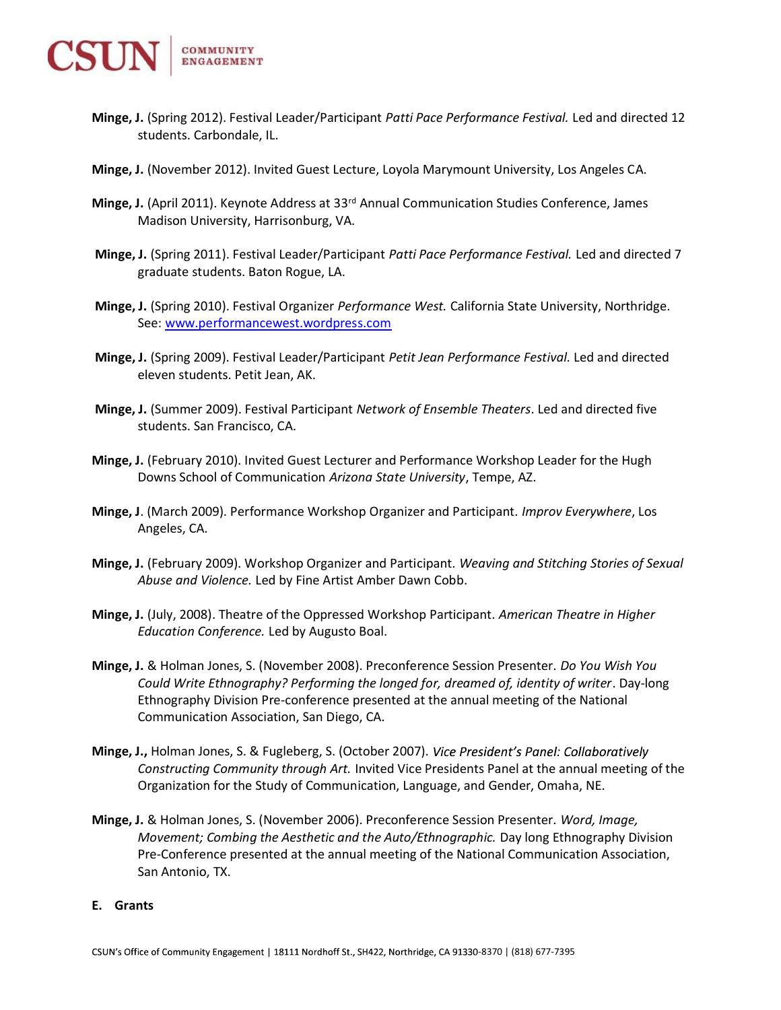

- Minge, J. (Spring 2012). Festival Leader/Participant Patti Pace Performance Festival. Led and directed 12 students. Carbondale, IL.
- Minge, J. (November 2012). Invited Guest Lecture, Loyola Marymount University, Los Angeles CA.
- Minge, J. (April 2011). Keynote Address at 33rd Annual Communication Studies Conference, James Madison University, Harrisonburg, VA.
- Minge, J. (Spring 2011). Festival Leader/Participant Patti Pace Performance Festival. Led and directed 7 graduate students. Baton Rogue, LA.
- Minge, J. (Spring 2010). Festival Organizer Performance West. California State University, Northridge. See: www.performancewest.wordpress.com
- Minge, J. (Spring 2009). Festival Leader/Participant Petit Jean Performance Festival. Led and directed eleven students. Petit Jean, AK.
- Minge, J. (Summer 2009). Festival Participant Network of Ensemble Theaters. Led and directed five students. San Francisco, CA.
- Minge, J. (February 2010). Invited Guest Lecturer and Performance Workshop Leader for the Hugh Downs School of Communication Arizona State University, Tempe, AZ.
- Minge, J. (March 2009). Performance Workshop Organizer and Participant. Improv Everywhere, Los Angeles, CA.
- Minge, J. (February 2009). Workshop Organizer and Participant. Weaving and Stitching Stories of Sexual Abuse and Violence. Led by Fine Artist Amber Dawn Cobb.
- Minge, J. (July, 2008). Theatre of the Oppressed Workshop Participant. American Theatre in Higher Education Conference. Led by Augusto Boal.
- Minge, J. & Holman Jones, S. (November 2008). Preconference Session Presenter. Do You Wish You Could Write Ethnography? Performing the longed for, dreamed of, identity of writer. Day-long Ethnography Division Pre-conference presented at the annual meeting of the National Communication Association, San Diego, CA.
- Minge, J., Holman Jones, S. & Fugleberg, S. (October 2007). Vice President's Panel: Collaboratively Constructing Community through Art. Invited Vice Presidents Panel at the annual meeting of the Organization for the Study of Communication, Language, and Gender, Omaha, NE.
- Minge, J. & Holman Jones, S. (November 2006). Preconference Session Presenter. Word, Image, Movement; Combing the Aesthetic and the Auto/Ethnographic. Day long Ethnography Division Pre-Conference presented at the annual meeting of the National Communication Association, San Antonio, TX.

#### E. Grants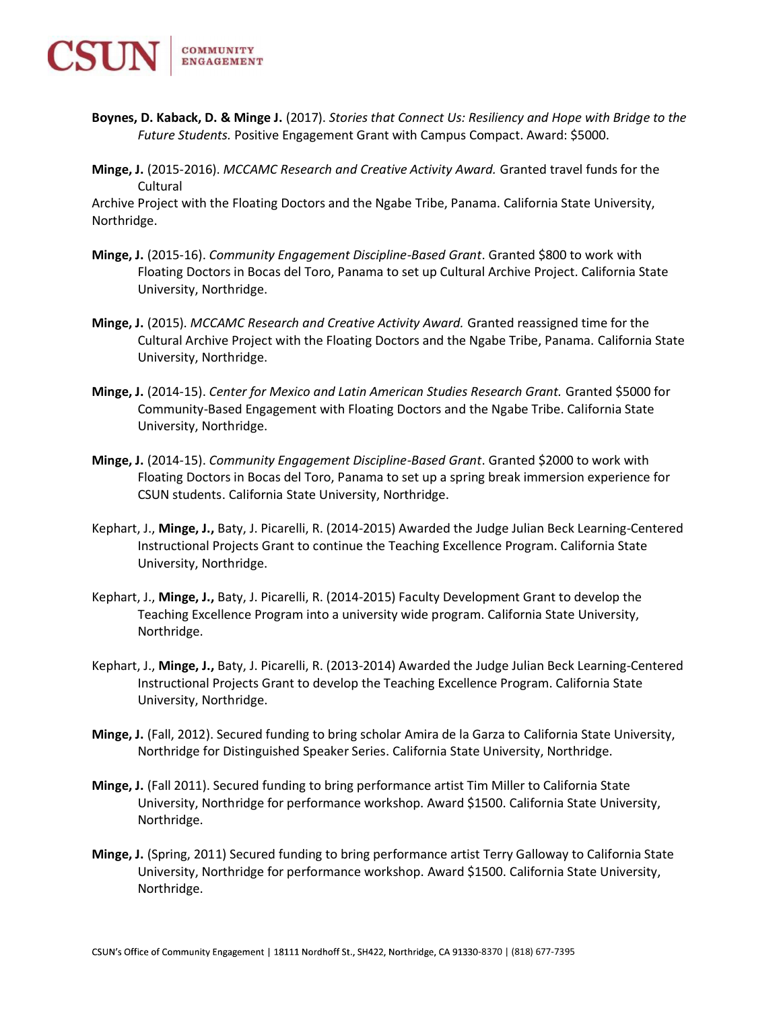

- Boynes, D. Kaback, D. & Minge J. (2017). Stories that Connect Us: Resiliency and Hope with Bridge to the Future Students. Positive Engagement Grant with Campus Compact. Award: \$5000.
- Minge, J. (2015-2016). MCCAMC Research and Creative Activity Award. Granted travel funds for the Cultural

Archive Project with the Floating Doctors and the Ngabe Tribe, Panama. California State University, Northridge.

- Minge, J. (2015-16). Community Engagement Discipline-Based Grant. Granted \$800 to work with Floating Doctors in Bocas del Toro, Panama to set up Cultural Archive Project. California State University, Northridge.
- Minge, J. (2015). MCCAMC Research and Creative Activity Award. Granted reassigned time for the Cultural Archive Project with the Floating Doctors and the Ngabe Tribe, Panama. California State University, Northridge.
- Minge, J. (2014-15). Center for Mexico and Latin American Studies Research Grant. Granted \$5000 for Community-Based Engagement with Floating Doctors and the Ngabe Tribe. California State University, Northridge.
- Minge, J. (2014-15). Community Engagement Discipline-Based Grant. Granted \$2000 to work with Floating Doctors in Bocas del Toro, Panama to set up a spring break immersion experience for CSUN students. California State University, Northridge.
- Kephart, J., Minge, J., Baty, J. Picarelli, R. (2014-2015) Awarded the Judge Julian Beck Learning-Centered Instructional Projects Grant to continue the Teaching Excellence Program. California State University, Northridge.
- Kephart, J., Minge, J., Baty, J. Picarelli, R. (2014-2015) Faculty Development Grant to develop the Teaching Excellence Program into a university wide program. California State University, Northridge.
- Kephart, J., Minge, J., Baty, J. Picarelli, R. (2013-2014) Awarded the Judge Julian Beck Learning-Centered Instructional Projects Grant to develop the Teaching Excellence Program. California State University, Northridge.
- Minge, J. (Fall, 2012). Secured funding to bring scholar Amira de la Garza to California State University, Northridge for Distinguished Speaker Series. California State University, Northridge.
- Minge, J. (Fall 2011). Secured funding to bring performance artist Tim Miller to California State University, Northridge for performance workshop. Award \$1500. California State University, Northridge.
- Minge, J. (Spring, 2011) Secured funding to bring performance artist Terry Galloway to California State University, Northridge for performance workshop. Award \$1500. California State University, Northridge.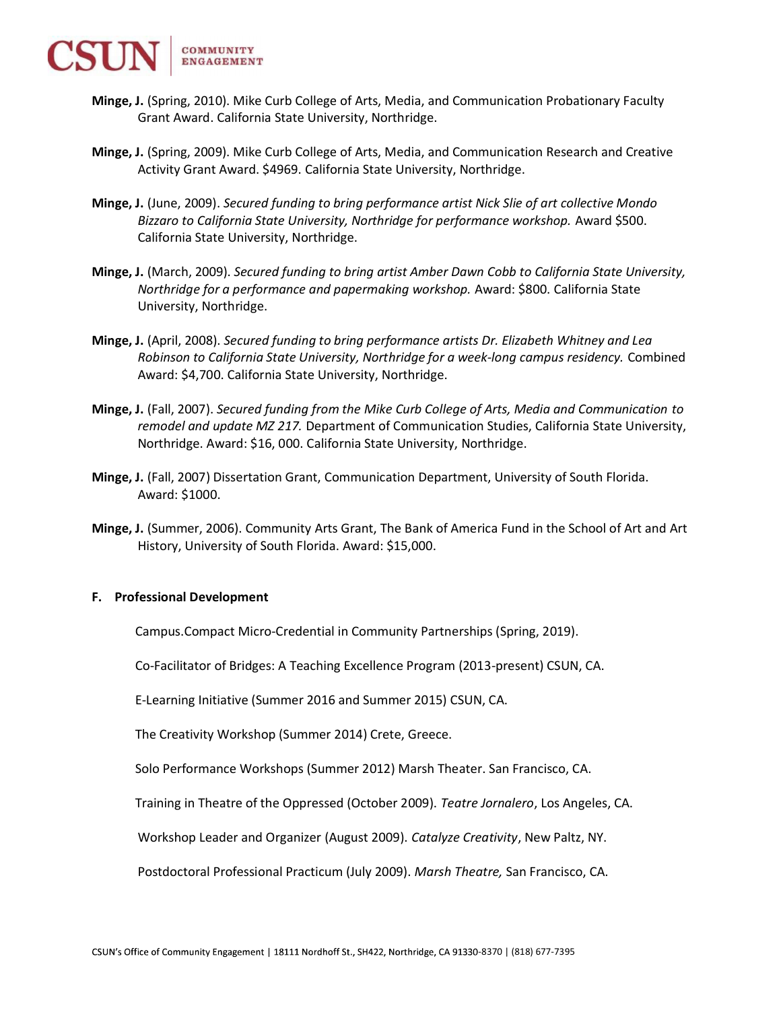

- Minge, J. (Spring, 2010). Mike Curb College of Arts, Media, and Communication Probationary Faculty Grant Award. California State University, Northridge.
- Minge, J. (Spring, 2009). Mike Curb College of Arts, Media, and Communication Research and Creative Activity Grant Award. \$4969. California State University, Northridge.
- Minge, J. (June, 2009). Secured funding to bring performance artist Nick Slie of art collective Mondo Bizzaro to California State University, Northridge for performance workshop. Award \$500. California State University, Northridge.
- Minge, J. (March, 2009). Secured funding to bring artist Amber Dawn Cobb to California State University, Northridge for a performance and papermaking workshop. Award: \$800. California State University, Northridge.
- Minge, J. (April, 2008). Secured funding to bring performance artists Dr. Elizabeth Whitney and Lea Robinson to California State University, Northridge for a week-long campus residency. Combined Award: \$4,700. California State University, Northridge.
- Minge, J. (Fall, 2007). Secured funding from the Mike Curb College of Arts, Media and Communication to remodel and update MZ 217. Department of Communication Studies, California State University, Northridge. Award: \$16, 000. California State University, Northridge.
- Minge, J. (Fall, 2007) Dissertation Grant, Communication Department, University of South Florida. Award: \$1000.
- Minge, J. (Summer, 2006). Community Arts Grant, The Bank of America Fund in the School of Art and Art History, University of South Florida. Award: \$15,000.

### F. Professional Development

Campus.Compact Micro-Credential in Community Partnerships (Spring, 2019).

Co-Facilitator of Bridges: A Teaching Excellence Program (2013-present) CSUN, CA.

E-Learning Initiative (Summer 2016 and Summer 2015) CSUN, CA.

The Creativity Workshop (Summer 2014) Crete, Greece.

Solo Performance Workshops (Summer 2012) Marsh Theater. San Francisco, CA.

Training in Theatre of the Oppressed (October 2009). Teatre Jornalero, Los Angeles, CA.

Workshop Leader and Organizer (August 2009). Catalyze Creativity, New Paltz, NY.

Postdoctoral Professional Practicum (July 2009). Marsh Theatre, San Francisco, CA.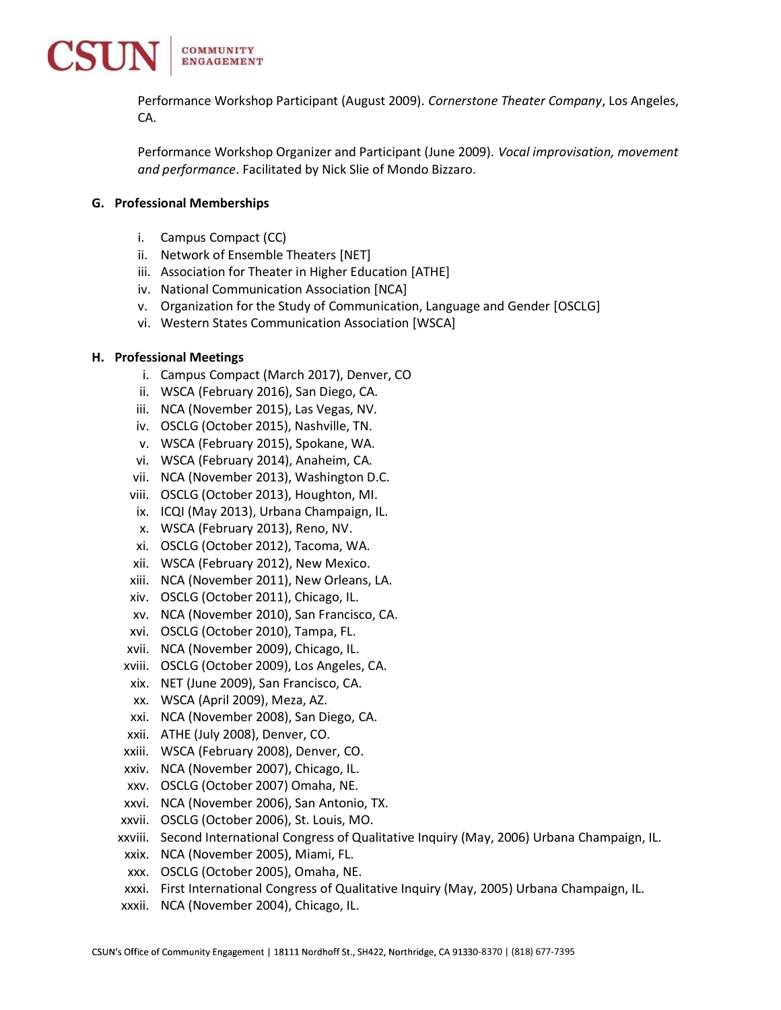

Performance Workshop Participant (August 2009). Cornerstone Theater Company, Los Angeles, CA.

Performance Workshop Organizer and Participant (June 2009). Vocal improvisation, movement and performance. Facilitated by Nick Slie of Mondo Bizzaro.

## G. Professional Memberships

- i. Campus Compact (CC)
- ii. Network of Ensemble Theaters [NET]
- iii. Association for Theater in Higher Education [ATHE]
- iv. National Communication Association [NCA]
- v. Organization for the Study of Communication, Language and Gender [OSCLG]
- vi. Western States Communication Association [WSCA]

### H. Professional Meetings

- i. Campus Compact (March 2017), Denver, CO
- ii. WSCA (February 2016), San Diego, CA.
- iii. NCA (November 2015), Las Vegas, NV.
- iv. OSCLG (October 2015), Nashville, TN.
- v. WSCA (February 2015), Spokane, WA.
- vi. WSCA (February 2014), Anaheim, CA.
- vii. NCA (November 2013), Washington D.C.
- viii. OSCLG (October 2013), Houghton, MI.
- ix. ICQI (May 2013), Urbana Champaign, IL.
- x. WSCA (February 2013), Reno, NV.
- xi. OSCLG (October 2012), Tacoma, WA.
- xii. WSCA (February 2012), New Mexico.
- xiii. NCA (November 2011), New Orleans, LA.
- xiv. OSCLG (October 2011), Chicago, IL.
- xv. NCA (November 2010), San Francisco, CA.
- xvi. OSCLG (October 2010), Tampa, FL.
- xvii. NCA (November 2009), Chicago, IL.
- xviii. OSCLG (October 2009), Los Angeles, CA.
- xix. NET (June 2009), San Francisco, CA.
- xx. WSCA (April 2009), Meza, AZ.
- xxi. NCA (November 2008), San Diego, CA.
- xxii. ATHE (July 2008), Denver, CO.
- xxiii. WSCA (February 2008), Denver, CO.
- xxiv. NCA (November 2007), Chicago, IL.
- xxv. OSCLG (October 2007) Omaha, NE.
- xxvi. NCA (November 2006), San Antonio, TX.
- xxvii. OSCLG (October 2006), St. Louis, MO.
- xxviii. Second International Congress of Qualitative Inquiry (May, 2006) Urbana Champaign, IL.
- xxix. NCA (November 2005), Miami, FL.
- xxx. OSCLG (October 2005), Omaha, NE.
- xxxi. First International Congress of Qualitative Inquiry (May, 2005) Urbana Champaign, IL.
- xxxii. NCA (November 2004), Chicago, IL.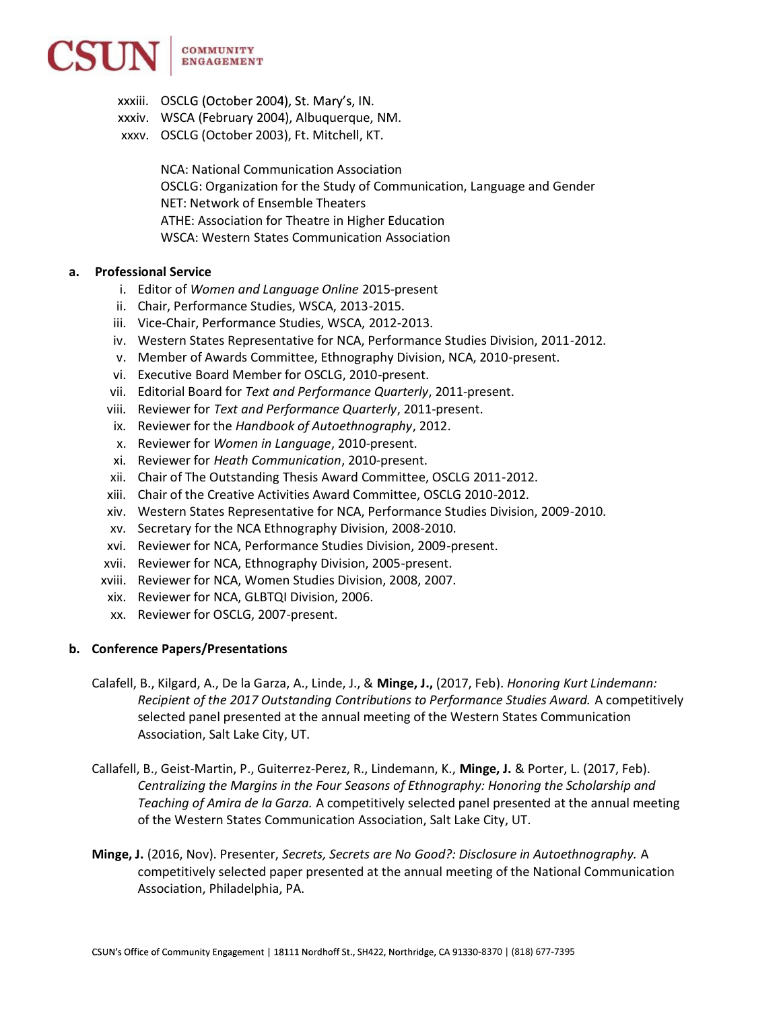

- xxxiii. OSCLG (October 2004), St. Mary's, IN.
- xxxiv. WSCA (February 2004), Albuquerque, NM.
- xxxv. OSCLG (October 2003), Ft. Mitchell, KT.

NCA: National Communication Association OSCLG: Organization for the Study of Communication, Language and Gender NET: Network of Ensemble Theaters ATHE: Association for Theatre in Higher Education WSCA: Western States Communication Association

## a. Professional Service

- i. Editor of Women and Language Online 2015-present
- ii. Chair, Performance Studies, WSCA, 2013-2015.
- iii. Vice-Chair, Performance Studies, WSCA, 2012-2013.
- iv. Western States Representative for NCA, Performance Studies Division, 2011-2012.
- v. Member of Awards Committee, Ethnography Division, NCA, 2010-present.
- vi. Executive Board Member for OSCLG, 2010-present.
- vii. Editorial Board for Text and Performance Quarterly, 2011-present.
- viii. Reviewer for Text and Performance Quarterly, 2011-present.
- ix. Reviewer for the Handbook of Autoethnography, 2012.
- x. Reviewer for Women in Language, 2010-present.
- xi. Reviewer for Heath Communication, 2010-present.
- xii. Chair of The Outstanding Thesis Award Committee, OSCLG 2011-2012.
- xiii. Chair of the Creative Activities Award Committee, OSCLG 2010-2012.
- xiv. Western States Representative for NCA, Performance Studies Division, 2009-2010.
- xv. Secretary for the NCA Ethnography Division, 2008-2010.
- xvi. Reviewer for NCA, Performance Studies Division, 2009-present.
- xvii. Reviewer for NCA, Ethnography Division, 2005-present.
- xviii. Reviewer for NCA, Women Studies Division, 2008, 2007.
- xix. Reviewer for NCA, GLBTQI Division, 2006.
- xx. Reviewer for OSCLG, 2007-present.

### b. Conference Papers/Presentations

- Calafell, B., Kilgard, A., De la Garza, A., Linde, J., & Minge, J., (2017, Feb). Honoring Kurt Lindemann: Recipient of the 2017 Outstanding Contributions to Performance Studies Award. A competitively selected panel presented at the annual meeting of the Western States Communication Association, Salt Lake City, UT.
- Callafell, B., Geist-Martin, P., Guiterrez-Perez, R., Lindemann, K., Minge, J. & Porter, L. (2017, Feb). Centralizing the Margins in the Four Seasons of Ethnography: Honoring the Scholarship and Teaching of Amira de la Garza. A competitively selected panel presented at the annual meeting of the Western States Communication Association, Salt Lake City, UT.
- Minge, J. (2016, Nov). Presenter, Secrets, Secrets are No Good?: Disclosure in Autoethnography. A competitively selected paper presented at the annual meeting of the National Communication Association, Philadelphia, PA.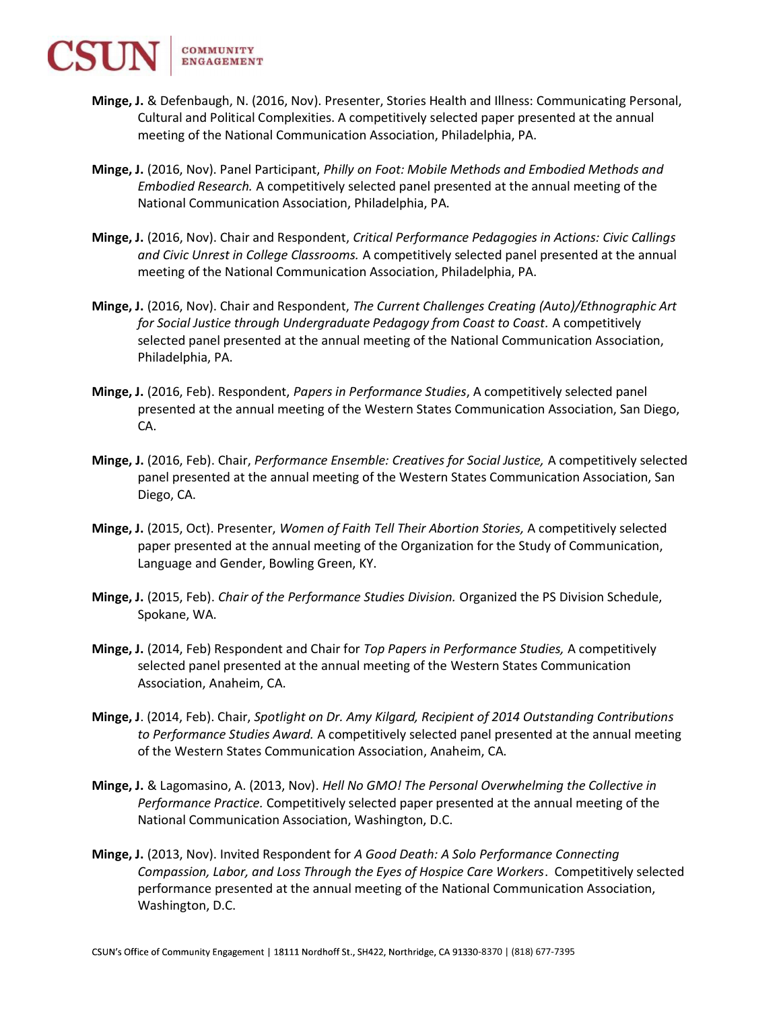COMMUNITY **ENGAGEMENT** 

- Minge, J. & Defenbaugh, N. (2016, Nov). Presenter, Stories Health and Illness: Communicating Personal, Cultural and Political Complexities. A competitively selected paper presented at the annual meeting of the National Communication Association, Philadelphia, PA.
- Minge, J. (2016, Nov). Panel Participant, Philly on Foot: Mobile Methods and Embodied Methods and Embodied Research. A competitively selected panel presented at the annual meeting of the National Communication Association, Philadelphia, PA.
- Minge, J. (2016, Nov). Chair and Respondent, Critical Performance Pedagogies in Actions: Civic Callings and Civic Unrest in College Classrooms. A competitively selected panel presented at the annual meeting of the National Communication Association, Philadelphia, PA.
- Minge, J. (2016, Nov). Chair and Respondent, The Current Challenges Creating (Auto)/Ethnographic Art for Social Justice through Undergraduate Pedagogy from Coast to Coast. A competitively selected panel presented at the annual meeting of the National Communication Association, Philadelphia, PA.
- Minge, J. (2016, Feb). Respondent, Papers in Performance Studies, A competitively selected panel presented at the annual meeting of the Western States Communication Association, San Diego, CA.
- Minge, J. (2016, Feb). Chair, Performance Ensemble: Creatives for Social Justice, A competitively selected panel presented at the annual meeting of the Western States Communication Association, San Diego, CA.
- Minge, J. (2015, Oct). Presenter, Women of Faith Tell Their Abortion Stories, A competitively selected paper presented at the annual meeting of the Organization for the Study of Communication, Language and Gender, Bowling Green, KY.
- Minge, J. (2015, Feb). Chair of the Performance Studies Division. Organized the PS Division Schedule, Spokane, WA.
- Minge, J. (2014, Feb) Respondent and Chair for Top Papers in Performance Studies, A competitively selected panel presented at the annual meeting of the Western States Communication Association, Anaheim, CA.
- Minge, J. (2014, Feb). Chair, Spotlight on Dr. Amy Kilgard, Recipient of 2014 Outstanding Contributions to Performance Studies Award. A competitively selected panel presented at the annual meeting of the Western States Communication Association, Anaheim, CA.
- Minge, J. & Lagomasino, A. (2013, Nov). Hell No GMO! The Personal Overwhelming the Collective in Performance Practice. Competitively selected paper presented at the annual meeting of the National Communication Association, Washington, D.C.
- Minge, J. (2013, Nov). Invited Respondent for A Good Death: A Solo Performance Connecting Compassion, Labor, and Loss Through the Eyes of Hospice Care Workers. Competitively selected performance presented at the annual meeting of the National Communication Association, Washington, D.C.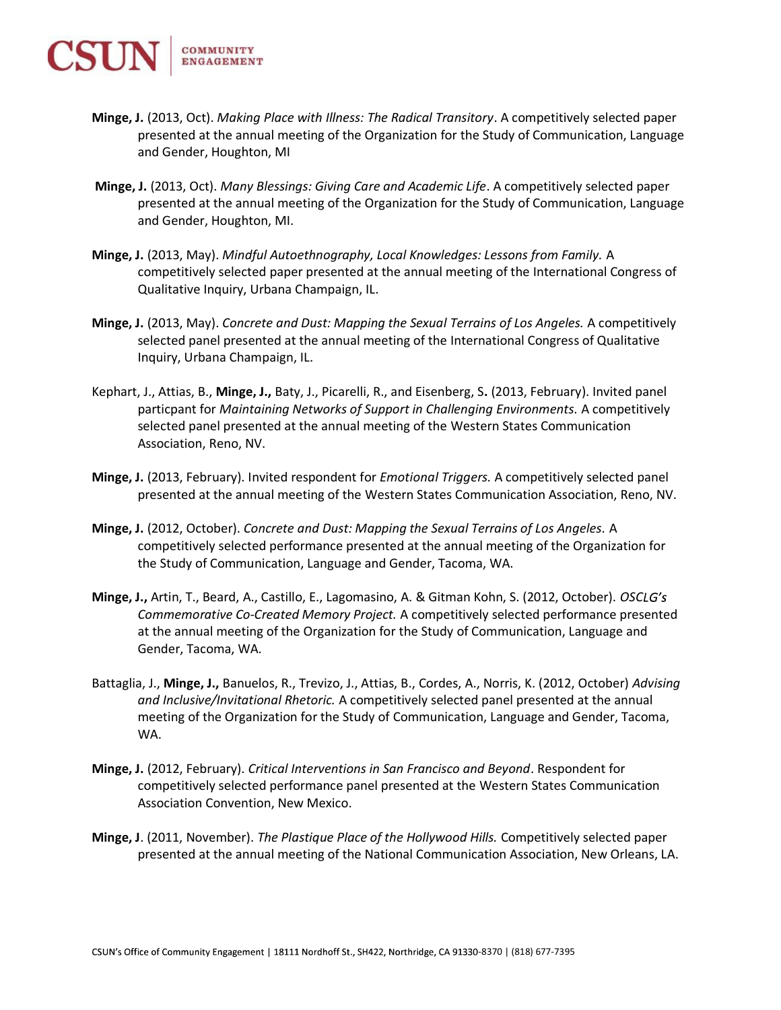- Minge, J. (2013, Oct). Making Place with Illness: The Radical Transitory. A competitively selected paper presented at the annual meeting of the Organization for the Study of Communication, Language and Gender, Houghton, MI
- Minge, J. (2013, Oct). Many Blessings: Giving Care and Academic Life. A competitively selected paper presented at the annual meeting of the Organization for the Study of Communication, Language and Gender, Houghton, MI.
- Minge, J. (2013, May). Mindful Autoethnography, Local Knowledges: Lessons from Family. A competitively selected paper presented at the annual meeting of the International Congress of Qualitative Inquiry, Urbana Champaign, IL.
- Minge, J. (2013, May). Concrete and Dust: Mapping the Sexual Terrains of Los Angeles. A competitively selected panel presented at the annual meeting of the International Congress of Qualitative Inquiry, Urbana Champaign, IL.
- Kephart, J., Attias, B., Minge, J., Baty, J., Picarelli, R., and Eisenberg, S. (2013, February). Invited panel particpant for Maintaining Networks of Support in Challenging Environments. A competitively selected panel presented at the annual meeting of the Western States Communication Association, Reno, NV.
- Minge, J. (2013, February). Invited respondent for *Emotional Triggers*. A competitively selected panel presented at the annual meeting of the Western States Communication Association, Reno, NV.
- Minge, J. (2012, October). Concrete and Dust: Mapping the Sexual Terrains of Los Angeles. A competitively selected performance presented at the annual meeting of the Organization for the Study of Communication, Language and Gender, Tacoma, WA.
- Minge, J., Artin, T., Beard, A., Castillo, E., Lagomasino, A. & Gitman Kohn, S. (2012, October). OSCLG's Commemorative Co-Created Memory Project. A competitively selected performance presented at the annual meeting of the Organization for the Study of Communication, Language and Gender, Tacoma, WA.
- Battaglia, J., Minge, J., Banuelos, R., Trevizo, J., Attias, B., Cordes, A., Norris, K. (2012, October) Advising and Inclusive/Invitational Rhetoric. A competitively selected panel presented at the annual meeting of the Organization for the Study of Communication, Language and Gender, Tacoma, WA.
- Minge, J. (2012, February). Critical Interventions in San Francisco and Beyond. Respondent for competitively selected performance panel presented at the Western States Communication Association Convention, New Mexico.
- Minge, J. (2011, November). The Plastique Place of the Hollywood Hills. Competitively selected paper presented at the annual meeting of the National Communication Association, New Orleans, LA.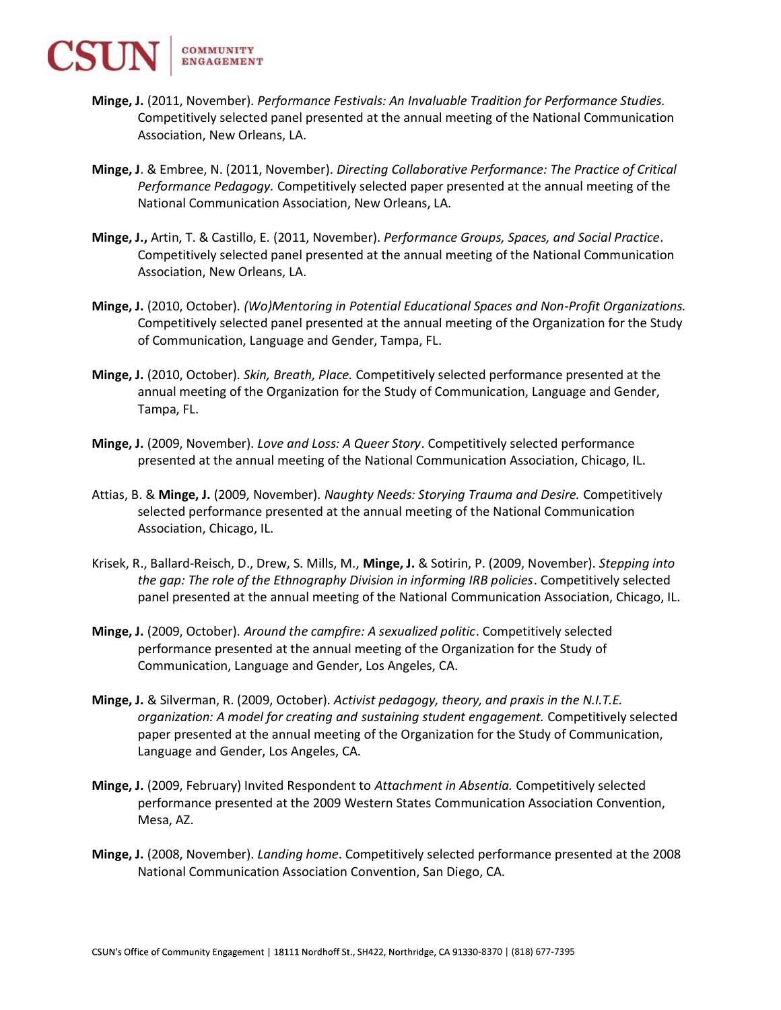COMMUNITY **ENGAGEMENT** 

- Minge, J. (2011, November). Performance Festivals: An Invaluable Tradition for Performance Studies. Competitively selected panel presented at the annual meeting of the National Communication Association, New Orleans, LA.
- Minge, J. & Embree, N. (2011, November). Directing Collaborative Performance: The Practice of Critical Performance Pedagogy. Competitively selected paper presented at the annual meeting of the National Communication Association, New Orleans, LA.
- Minge, J., Artin, T. & Castillo, E. (2011, November). Performance Groups, Spaces, and Social Practice. Competitively selected panel presented at the annual meeting of the National Communication Association, New Orleans, LA.
- Minge, J. (2010, October). (Wo)Mentoring in Potential Educational Spaces and Non-Profit Organizations. Competitively selected panel presented at the annual meeting of the Organization for the Study of Communication, Language and Gender, Tampa, FL.
- Minge, J. (2010, October). Skin, Breath, Place. Competitively selected performance presented at the annual meeting of the Organization for the Study of Communication, Language and Gender, Tampa, FL.
- Minge, J. (2009, November). Love and Loss: A Queer Story. Competitively selected performance presented at the annual meeting of the National Communication Association, Chicago, IL.
- Attias, B. & Minge, J. (2009, November). Naughty Needs: Storying Trauma and Desire. Competitively selected performance presented at the annual meeting of the National Communication Association, Chicago, IL.
- Krisek, R., Ballard-Reisch, D., Drew, S. Mills, M., Minge, J. & Sotirin, P. (2009, November). Stepping into the gap: The role of the Ethnography Division in informing IRB policies. Competitively selected panel presented at the annual meeting of the National Communication Association, Chicago, IL.
- Minge, J. (2009, October). Around the campfire: A sexualized politic. Competitively selected performance presented at the annual meeting of the Organization for the Study of Communication, Language and Gender, Los Angeles, CA.
- Minge, J. & Silverman, R. (2009, October). Activist pedagogy, theory, and praxis in the N.I.T.E. organization: A model for creating and sustaining student engagement. Competitively selected paper presented at the annual meeting of the Organization for the Study of Communication, Language and Gender, Los Angeles, CA.
- Minge, J. (2009, February) Invited Respondent to Attachment in Absentia. Competitively selected performance presented at the 2009 Western States Communication Association Convention, Mesa, AZ.
- Minge, J. (2008, November). Landing home. Competitively selected performance presented at the 2008 National Communication Association Convention, San Diego, CA.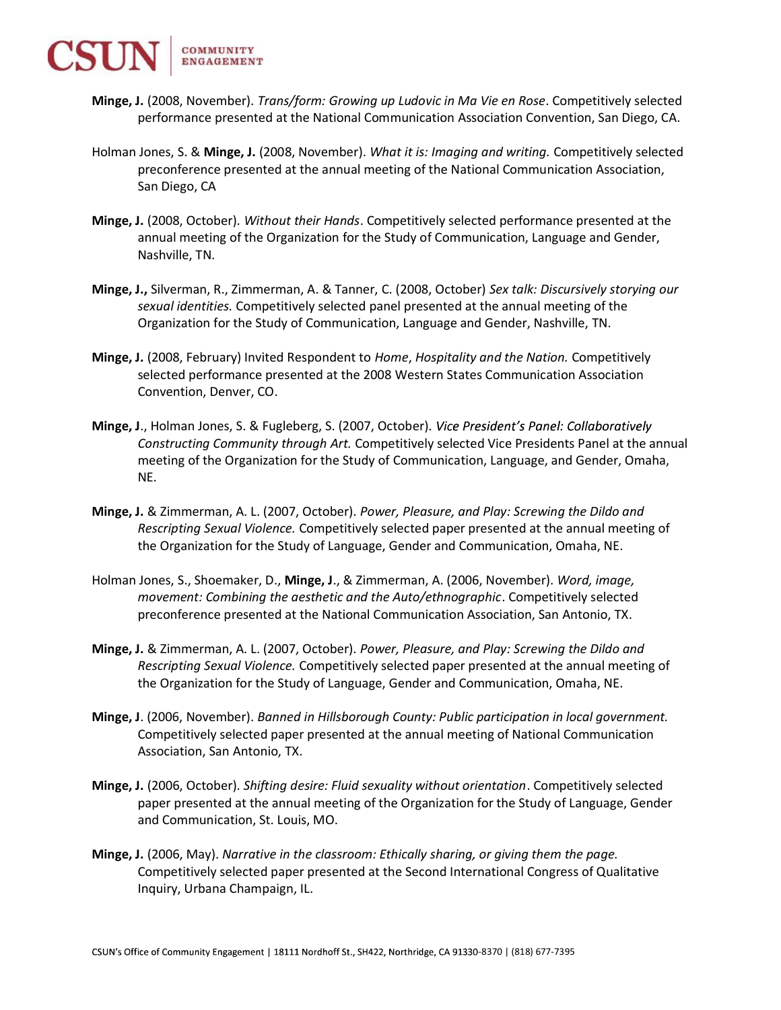

- Minge, J. (2008, November). Trans/form: Growing up Ludovic in Ma Vie en Rose. Competitively selected performance presented at the National Communication Association Convention, San Diego, CA.
- Holman Jones, S. & Minge, J. (2008, November). What it is: Imaging and writing. Competitively selected preconference presented at the annual meeting of the National Communication Association, San Diego, CA
- Minge, J. (2008, October). Without their Hands. Competitively selected performance presented at the annual meeting of the Organization for the Study of Communication, Language and Gender, Nashville, TN.
- Minge, J., Silverman, R., Zimmerman, A. & Tanner, C. (2008, October) Sex talk: Discursively storying our sexual identities. Competitively selected panel presented at the annual meeting of the Organization for the Study of Communication, Language and Gender, Nashville, TN.
- Minge, J. (2008, February) Invited Respondent to Home, Hospitality and the Nation. Competitively selected performance presented at the 2008 Western States Communication Association Convention, Denver, CO.
- Minge, J., Holman Jones, S. & Fugleberg, S. (2007, October). Vice President's Panel: Collaboratively Constructing Community through Art. Competitively selected Vice Presidents Panel at the annual meeting of the Organization for the Study of Communication, Language, and Gender, Omaha, NE.
- Minge, J. & Zimmerman, A. L. (2007, October). Power, Pleasure, and Play: Screwing the Dildo and Rescripting Sexual Violence. Competitively selected paper presented at the annual meeting of the Organization for the Study of Language, Gender and Communication, Omaha, NE.
- Holman Jones, S., Shoemaker, D., Minge, J., & Zimmerman, A. (2006, November). Word, image, movement: Combining the aesthetic and the Auto/ethnographic. Competitively selected preconference presented at the National Communication Association, San Antonio, TX.
- Minge, J. & Zimmerman, A. L. (2007, October). Power, Pleasure, and Play: Screwing the Dildo and Rescripting Sexual Violence. Competitively selected paper presented at the annual meeting of the Organization for the Study of Language, Gender and Communication, Omaha, NE.
- Minge, J. (2006, November). Banned in Hillsborough County: Public participation in local government. Competitively selected paper presented at the annual meeting of National Communication Association, San Antonio, TX.
- Minge, J. (2006, October). Shifting desire: Fluid sexuality without orientation. Competitively selected paper presented at the annual meeting of the Organization for the Study of Language, Gender and Communication, St. Louis, MO.
- Minge, J. (2006, May). Narrative in the classroom: Ethically sharing, or giving them the page. Competitively selected paper presented at the Second International Congress of Qualitative Inquiry, Urbana Champaign, IL.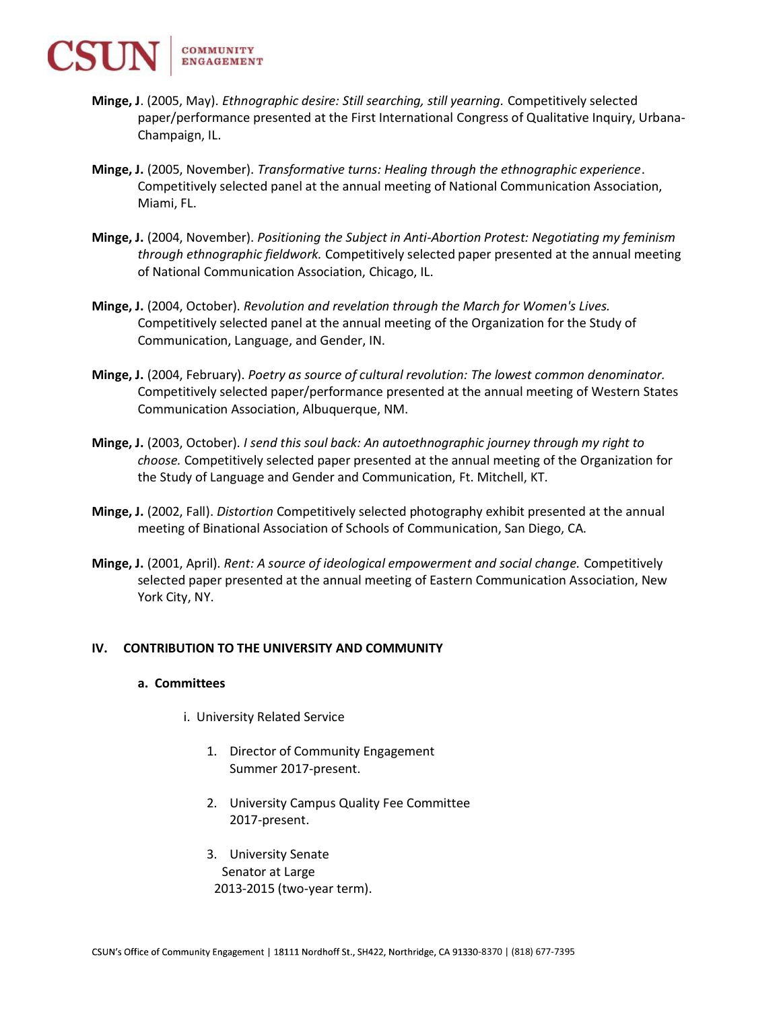- Minge, J. (2005, May). Ethnographic desire: Still searching, still yearning. Competitively selected paper/performance presented at the First International Congress of Qualitative Inquiry, Urbana-Champaign, IL.
- Minge, J. (2005, November). Transformative turns: Healing through the ethnographic experience. Competitively selected panel at the annual meeting of National Communication Association, Miami, FL.
- Minge, J. (2004, November). Positioning the Subject in Anti-Abortion Protest: Negotiating my feminism through ethnographic fieldwork. Competitively selected paper presented at the annual meeting of National Communication Association, Chicago, IL.
- Minge, J. (2004, October). Revolution and revelation through the March for Women's Lives. Competitively selected panel at the annual meeting of the Organization for the Study of Communication, Language, and Gender, IN.
- Minge, J. (2004, February). Poetry as source of cultural revolution: The lowest common denominator. Competitively selected paper/performance presented at the annual meeting of Western States Communication Association, Albuquerque, NM.
- Minge, J. (2003, October). I send this soul back: An autoethnographic journey through my right to choose. Competitively selected paper presented at the annual meeting of the Organization for the Study of Language and Gender and Communication, Ft. Mitchell, KT.
- Minge, J. (2002, Fall). Distortion Competitively selected photography exhibit presented at the annual meeting of Binational Association of Schools of Communication, San Diego, CA.
- Minge, J. (2001, April). Rent: A source of ideological empowerment and social change. Competitively selected paper presented at the annual meeting of Eastern Communication Association, New York City, NY.

# IV. CONTRIBUTION TO THE UNIVERSITY AND COMMUNITY

### a. Committees

- i. University Related Service
	- 1. Director of Community Engagement Summer 2017-present.
	- 2. University Campus Quality Fee Committee 2017-present.
	- 3. University Senate Senator at Large 2013-2015 (two-year term).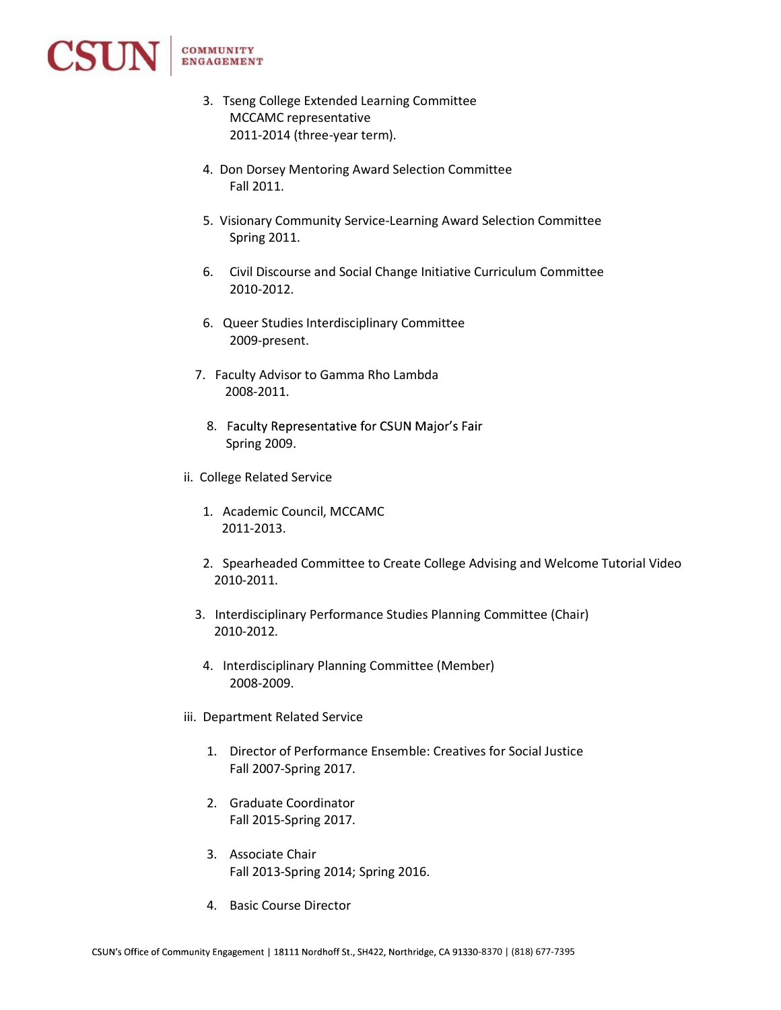

- 3. Tseng College Extended Learning Committee MCCAMC representative 2011-2014 (three-year term).
- 4. Don Dorsey Mentoring Award Selection Committee Fall 2011.
- 5. Visionary Community Service-Learning Award Selection Committee Spring 2011.
- 6. Civil Discourse and Social Change Initiative Curriculum Committee 2010-2012.
- 6. Queer Studies Interdisciplinary Committee 2009-present.
- 7. Faculty Advisor to Gamma Rho Lambda 2008-2011.
	- 8. Faculty Representative for CSUN Major's Fair Spring 2009.
- ii. College Related Service
	- 1. Academic Council, MCCAMC 2011-2013.
	- 2. Spearheaded Committee to Create College Advising and Welcome Tutorial Video 2010-2011.
	- 3. Interdisciplinary Performance Studies Planning Committee (Chair) 2010-2012.
	- 4. Interdisciplinary Planning Committee (Member) 2008-2009.
- iii. Department Related Service
	- 1. Director of Performance Ensemble: Creatives for Social Justice Fall 2007-Spring 2017.
	- 2. Graduate Coordinator Fall 2015-Spring 2017.
	- 3. Associate Chair Fall 2013-Spring 2014; Spring 2016.
	- 4. Basic Course Director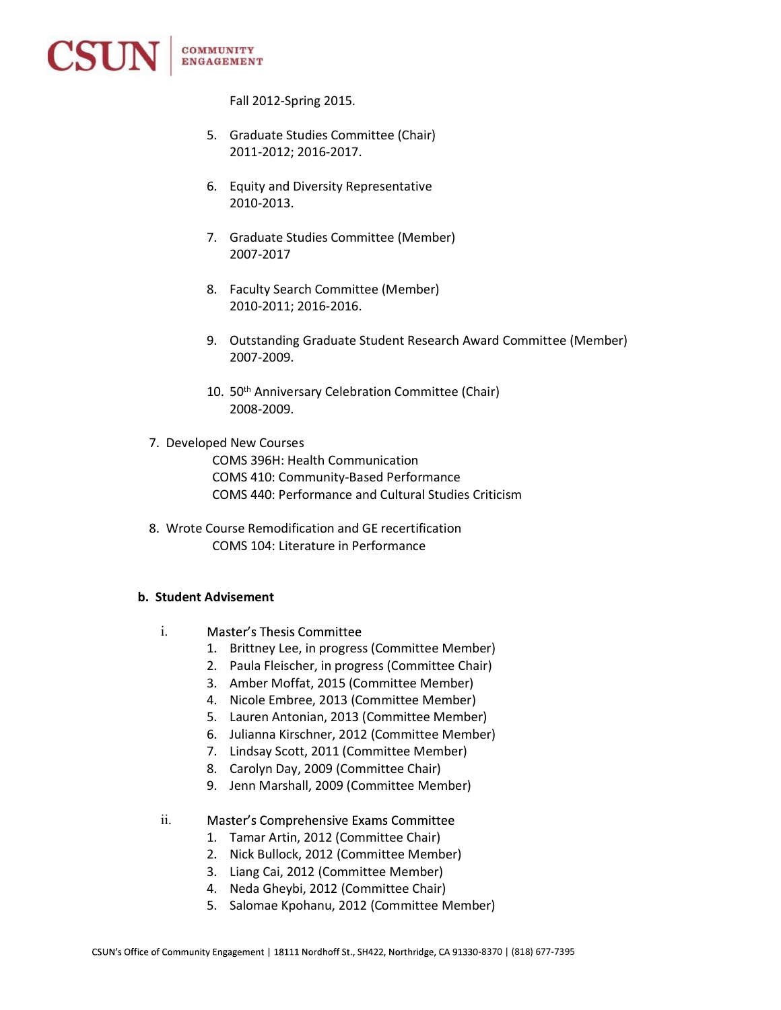

Fall 2012-Spring 2015.

- 5. Graduate Studies Committee (Chair) 2011-2012; 2016-2017.
- 6. Equity and Diversity Representative 2010-2013.
- 7. Graduate Studies Committee (Member) 2007-2017
- 8. Faculty Search Committee (Member) 2010-2011; 2016-2016.
- 9. Outstanding Graduate Student Research Award Committee (Member) 2007-2009.
- 10. 50<sup>th</sup> Anniversary Celebration Committee (Chair) 2008-2009.
- 7. Developed New Courses COMS 396H: Health Communication COMS 410: Community-Based Performance COMS 440: Performance and Cultural Studies Criticism
- 8. Wrote Course Remodification and GE recertification COMS 104: Literature in Performance

# b. Student Advisement

- i. Master's Thesis Committee
	- 1. Brittney Lee, in progress (Committee Member)
	- 2. Paula Fleischer, in progress (Committee Chair)
	- 3. Amber Moffat, 2015 (Committee Member)
	- 4. Nicole Embree, 2013 (Committee Member)
	- 5. Lauren Antonian, 2013 (Committee Member)
	- 6. Julianna Kirschner, 2012 (Committee Member)
	- 7. Lindsay Scott, 2011 (Committee Member)
	- 8. Carolyn Day, 2009 (Committee Chair)
	- 9. Jenn Marshall, 2009 (Committee Member)
- ii. Master's Comprehensive Exams Committee
	- 1. Tamar Artin, 2012 (Committee Chair)
	- 2. Nick Bullock, 2012 (Committee Member)
	- 3. Liang Cai, 2012 (Committee Member)
	- 4. Neda Gheybi, 2012 (Committee Chair)
	- 5. Salomae Kpohanu, 2012 (Committee Member)